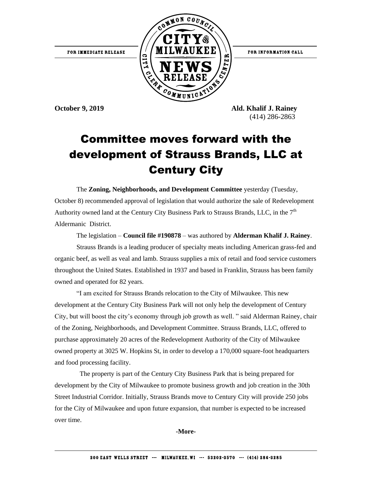FOR INFORMATION CALL



**October 9, 2019 Ald. Khalif J. Rainey** (414) 286-2863

## Committee moves forward with the development of Strauss Brands, LLC at Century City

The **Zoning, Neighborhoods, and Development Committee** yesterday (Tuesday, October 8) recommended approval of legislation that would authorize the sale of Redevelopment Authority owned land at the Century City Business Park to Strauss Brands, LLC, in the  $7<sup>th</sup>$ Aldermanic District.

The legislation – **Council file #190878** – was authored by **Alderman Khalif J. Rainey**.

Strauss Brands is a leading producer of specialty meats including American grass-fed and organic beef, as well as veal and lamb. Strauss supplies a mix of retail and food service customers throughout the United States. Established in 1937 and based in Franklin, Strauss has been family owned and operated for 82 years.

"I am excited for Strauss Brands relocation to the City of Milwaukee. This new development at the Century City Business Park will not only help the development of Century City, but will boost the city's economy through job growth as well. " said Alderman Rainey, chair of the Zoning, Neighborhoods, and Development Committee. Strauss Brands, LLC, offered to purchase approximately 20 acres of the Redevelopment Authority of the City of Milwaukee owned property at 3025 W. Hopkins St, in order to develop a 170,000 square-foot headquarters and food processing facility.

 The property is part of the Century City Business Park that is being prepared for development by the City of Milwaukee to promote business growth and job creation in the 30th Street Industrial Corridor. Initially, Strauss Brands move to Century City will provide 250 jobs for the City of Milwaukee and upon future expansion, that number is expected to be increased over time.

**-More-**